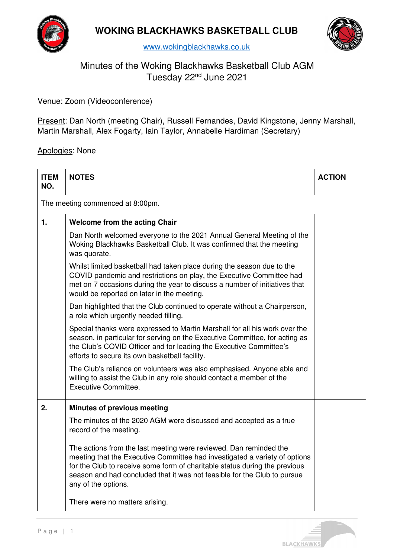



# Minutes of the Woking Blackhawks Basketball Club AGM Tuesday 22nd June 2021

Venue: Zoom (Videoconference)

Present: Dan North (meeting Chair), Russell Fernandes, David Kingstone, Jenny Marshall, Martin Marshall, Alex Fogarty, Iain Taylor, Annabelle Hardiman (Secretary)

Apologies: None

| <b>ITEM</b><br>NO.               | <b>NOTES</b>                                                                                                                                                                                                                                                                                                                     | <b>ACTION</b> |
|----------------------------------|----------------------------------------------------------------------------------------------------------------------------------------------------------------------------------------------------------------------------------------------------------------------------------------------------------------------------------|---------------|
| The meeting commenced at 8:00pm. |                                                                                                                                                                                                                                                                                                                                  |               |
| $\mathbf{1}$ .                   | <b>Welcome from the acting Chair</b>                                                                                                                                                                                                                                                                                             |               |
|                                  | Dan North welcomed everyone to the 2021 Annual General Meeting of the<br>Woking Blackhawks Basketball Club. It was confirmed that the meeting<br>was quorate.                                                                                                                                                                    |               |
|                                  | Whilst limited basketball had taken place during the season due to the<br>COVID pandemic and restrictions on play, the Executive Committee had<br>met on 7 occasions during the year to discuss a number of initiatives that<br>would be reported on later in the meeting.                                                       |               |
|                                  | Dan highlighted that the Club continued to operate without a Chairperson,<br>a role which urgently needed filling.                                                                                                                                                                                                               |               |
|                                  | Special thanks were expressed to Martin Marshall for all his work over the<br>season, in particular for serving on the Executive Committee, for acting as<br>the Club's COVID Officer and for leading the Executive Committee's<br>efforts to secure its own basketball facility.                                                |               |
|                                  | The Club's reliance on volunteers was also emphasised. Anyone able and<br>willing to assist the Club in any role should contact a member of the<br>Executive Committee.                                                                                                                                                          |               |
| 2.                               | <b>Minutes of previous meeting</b>                                                                                                                                                                                                                                                                                               |               |
|                                  | The minutes of the 2020 AGM were discussed and accepted as a true<br>record of the meeting.                                                                                                                                                                                                                                      |               |
|                                  | The actions from the last meeting were reviewed. Dan reminded the<br>meeting that the Executive Committee had investigated a variety of options<br>for the Club to receive some form of charitable status during the previous<br>season and had concluded that it was not feasible for the Club to pursue<br>any of the options. |               |
|                                  | There were no matters arising.                                                                                                                                                                                                                                                                                                   |               |

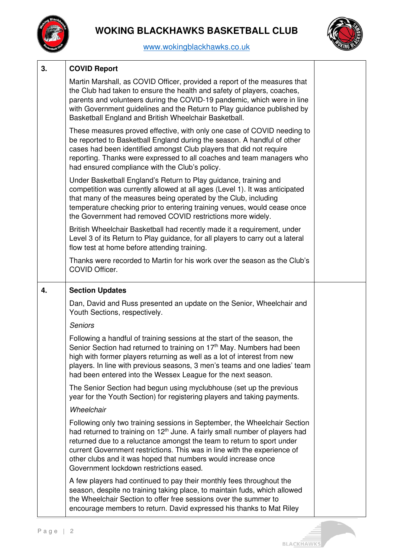



| 3. | <b>COVID Report</b>                                                                                                                                                                                                                                                                                                                                                                                                                    |  |
|----|----------------------------------------------------------------------------------------------------------------------------------------------------------------------------------------------------------------------------------------------------------------------------------------------------------------------------------------------------------------------------------------------------------------------------------------|--|
|    | Martin Marshall, as COVID Officer, provided a report of the measures that<br>the Club had taken to ensure the health and safety of players, coaches,<br>parents and volunteers during the COVID-19 pandemic, which were in line<br>with Government guidelines and the Return to Play guidance published by<br>Basketball England and British Wheelchair Basketball.                                                                    |  |
|    | These measures proved effective, with only one case of COVID needing to<br>be reported to Basketball England during the season. A handful of other<br>cases had been identified amongst Club players that did not require<br>reporting. Thanks were expressed to all coaches and team managers who<br>had ensured compliance with the Club's policy.                                                                                   |  |
|    | Under Basketball England's Return to Play guidance, training and<br>competition was currently allowed at all ages (Level 1). It was anticipated<br>that many of the measures being operated by the Club, including<br>temperature checking prior to entering training venues, would cease once<br>the Government had removed COVID restrictions more widely.                                                                           |  |
|    | British Wheelchair Basketball had recently made it a requirement, under<br>Level 3 of its Return to Play guidance, for all players to carry out a lateral<br>flow test at home before attending training.                                                                                                                                                                                                                              |  |
|    | Thanks were recorded to Martin for his work over the season as the Club's<br>COVID Officer.                                                                                                                                                                                                                                                                                                                                            |  |
| 4. | <b>Section Updates</b>                                                                                                                                                                                                                                                                                                                                                                                                                 |  |
|    | Dan, David and Russ presented an update on the Senior, Wheelchair and<br>Youth Sections, respectively.                                                                                                                                                                                                                                                                                                                                 |  |
|    | <b>Seniors</b>                                                                                                                                                                                                                                                                                                                                                                                                                         |  |
|    | Following a handful of training sessions at the start of the season, the<br>Senior Section had returned to training on 17 <sup>th</sup> May. Numbers had been<br>high with former players returning as well as a lot of interest from new<br>players. In line with previous seasons, 3 men's teams and one ladies' team<br>had been entered into the Wessex League for the next season.                                                |  |
|    | The Senior Section had begun using myclubhouse (set up the previous<br>year for the Youth Section) for registering players and taking payments.                                                                                                                                                                                                                                                                                        |  |
|    | Wheelchair                                                                                                                                                                                                                                                                                                                                                                                                                             |  |
|    | Following only two training sessions in September, the Wheelchair Section<br>had returned to training on 12 <sup>th</sup> June. A fairly small number of players had<br>returned due to a reluctance amongst the team to return to sport under<br>current Government restrictions. This was in line with the experience of<br>other clubs and it was hoped that numbers would increase once<br>Government lockdown restrictions eased. |  |
|    | A few players had continued to pay their monthly fees throughout the<br>season, despite no training taking place, to maintain fuds, which allowed<br>the Wheelchair Section to offer free sessions over the summer to                                                                                                                                                                                                                  |  |

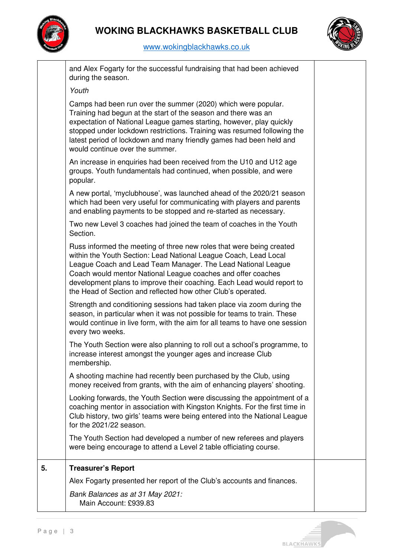



|    | and Alex Fogarty for the successful fundraising that had been achieved<br>during the season.                                                                                                                                                                                                                                                                                                                       |  |
|----|--------------------------------------------------------------------------------------------------------------------------------------------------------------------------------------------------------------------------------------------------------------------------------------------------------------------------------------------------------------------------------------------------------------------|--|
|    | Youth                                                                                                                                                                                                                                                                                                                                                                                                              |  |
|    | Camps had been run over the summer (2020) which were popular.<br>Training had begun at the start of the season and there was an<br>expectation of National League games starting, however, play quickly<br>stopped under lockdown restrictions. Training was resumed following the<br>latest period of lockdown and many friendly games had been held and<br>would continue over the summer.                       |  |
|    | An increase in enquiries had been received from the U10 and U12 age<br>groups. Youth fundamentals had continued, when possible, and were<br>popular.                                                                                                                                                                                                                                                               |  |
|    | A new portal, 'myclubhouse', was launched ahead of the 2020/21 season<br>which had been very useful for communicating with players and parents<br>and enabling payments to be stopped and re-started as necessary.                                                                                                                                                                                                 |  |
|    | Two new Level 3 coaches had joined the team of coaches in the Youth<br>Section.                                                                                                                                                                                                                                                                                                                                    |  |
|    | Russ informed the meeting of three new roles that were being created<br>within the Youth Section: Lead National League Coach, Lead Local<br>League Coach and Lead Team Manager. The Lead National League<br>Coach would mentor National League coaches and offer coaches<br>development plans to improve their coaching. Each Lead would report to<br>the Head of Section and reflected how other Club's operated. |  |
|    | Strength and conditioning sessions had taken place via zoom during the<br>season, in particular when it was not possible for teams to train. These<br>would continue in live form, with the aim for all teams to have one session<br>every two weeks.                                                                                                                                                              |  |
|    | The Youth Section were also planning to roll out a school's programme, to<br>increase interest amongst the younger ages and increase Club<br>membership.                                                                                                                                                                                                                                                           |  |
|    | A shooting machine had recently been purchased by the Club, using<br>money received from grants, with the aim of enhancing players' shooting.                                                                                                                                                                                                                                                                      |  |
|    | Looking forwards, the Youth Section were discussing the appointment of a<br>coaching mentor in association with Kingston Knights. For the first time in<br>Club history, two girls' teams were being entered into the National League<br>for the 2021/22 season.                                                                                                                                                   |  |
|    | The Youth Section had developed a number of new referees and players<br>were being encourage to attend a Level 2 table officiating course.                                                                                                                                                                                                                                                                         |  |
| 5. | <b>Treasurer's Report</b>                                                                                                                                                                                                                                                                                                                                                                                          |  |
|    | Alex Fogarty presented her report of the Club's accounts and finances.                                                                                                                                                                                                                                                                                                                                             |  |
|    | Bank Balances as at 31 May 2021:<br>Main Account: £939.83                                                                                                                                                                                                                                                                                                                                                          |  |

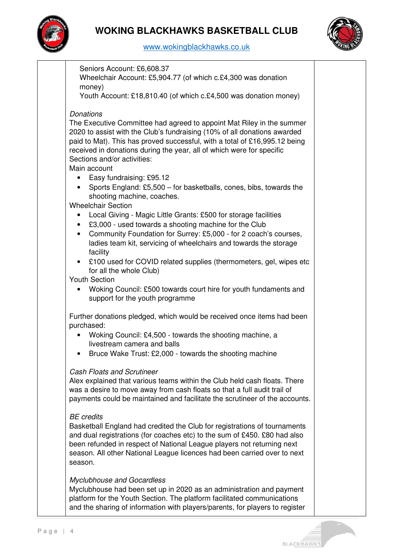



Seniors Account: £6,608.37

Wheelchair Account: £5,904.77 (of which c.£4,300 was donation money)

Youth Account: £18,810.40 (of which c.£4,500 was donation money)

## **Donations**

The Executive Committee had agreed to appoint Mat Riley in the summer 2020 to assist with the Club's fundraising (10% of all donations awarded paid to Mat). This has proved successful, with a total of £16,995.12 being received in donations during the year, all of which were for specific Sections and/or activities:

Main account

- Easy fundraising: £95.12
- Sports England: £5,500 for basketballs, cones, bibs, towards the shooting machine, coaches.

Wheelchair Section

- Local Giving Magic Little Grants: £500 for storage facilities
- £3,000 used towards a shooting machine for the Club
- Community Foundation for Surrey: £5,000 for 2 coach's courses, ladies team kit, servicing of wheelchairs and towards the storage facility
- £100 used for COVID related supplies (thermometers, gel, wipes etc for all the whole Club)

Youth Section

• Woking Council: £500 towards court hire for youth fundaments and support for the youth programme

Further donations pledged, which would be received once items had been purchased:

- Woking Council: £4,500 towards the shooting machine, a livestream camera and balls
- Bruce Wake Trust: £2,000 towards the shooting machine

## Cash Floats and Scrutineer

Alex explained that various teams within the Club held cash floats. There was a desire to move away from cash floats so that a full audit trail of payments could be maintained and facilitate the scrutineer of the accounts.

#### BE credits

Basketball England had credited the Club for registrations of tournaments and dual registrations (for coaches etc) to the sum of £450. £80 had also been refunded in respect of National League players not returning next season. All other National League licences had been carried over to next season.

#### Myclubhouse and Gocardless

Myclubhouse had been set up in 2020 as an administration and payment platform for the Youth Section. The platform facilitated communications and the sharing of information with players/parents, for players to register

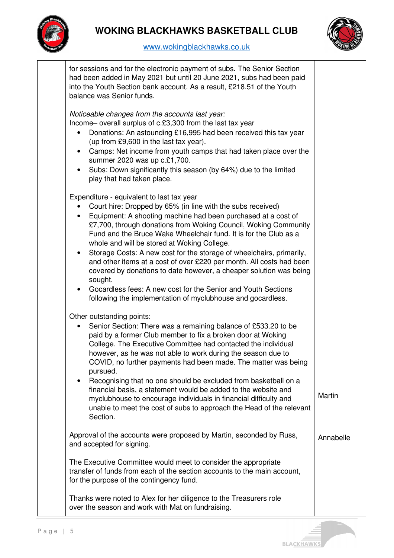



| for sessions and for the electronic payment of subs. The Senior Section<br>had been added in May 2021 but until 20 June 2021, subs had been paid<br>into the Youth Section bank account. As a result, £218.51 of the Youth<br>balance was Senior funds.                                                                                                                                                                                                                                                                                                                                                                                                                                                                                       |           |
|-----------------------------------------------------------------------------------------------------------------------------------------------------------------------------------------------------------------------------------------------------------------------------------------------------------------------------------------------------------------------------------------------------------------------------------------------------------------------------------------------------------------------------------------------------------------------------------------------------------------------------------------------------------------------------------------------------------------------------------------------|-----------|
| Noticeable changes from the accounts last year:<br>Income-overall surplus of c.£3,300 from the last tax year<br>Donations: An astounding £16,995 had been received this tax year<br>٠<br>(up from £9,600 in the last tax year).<br>Camps: Net income from youth camps that had taken place over the<br>$\bullet$<br>summer 2020 was up c.£1,700.<br>Subs: Down significantly this season (by 64%) due to the limited<br>$\bullet$<br>play that had taken place.                                                                                                                                                                                                                                                                               |           |
| Expenditure - equivalent to last tax year<br>Court hire: Dropped by 65% (in line with the subs received)<br>Equipment: A shooting machine had been purchased at a cost of<br>£7,700, through donations from Woking Council, Woking Community<br>Fund and the Bruce Wake Wheelchair fund. It is for the Club as a<br>whole and will be stored at Woking College.<br>Storage Costs: A new cost for the storage of wheelchairs, primarily,<br>and other items at a cost of over £220 per month. All costs had been<br>covered by donations to date however, a cheaper solution was being<br>sought.<br>Gocardless fees: A new cost for the Senior and Youth Sections<br>$\bullet$<br>following the implementation of myclubhouse and gocardless. |           |
| Other outstanding points:<br>Senior Section: There was a remaining balance of £533.20 to be<br>$\bullet$<br>paid by a former Club member to fix a broken door at Woking<br>College. The Executive Committee had contacted the individual<br>however, as he was not able to work during the season due to<br>COVID, no further payments had been made. The matter was being<br>pursued.<br>Recognising that no one should be excluded from basketball on a<br>$\bullet$<br>financial basis, a statement would be added to the website and<br>myclubhouse to encourage individuals in financial difficulty and<br>unable to meet the cost of subs to approach the Head of the relevant<br>Section.                                              | Martin    |
| Approval of the accounts were proposed by Martin, seconded by Russ,<br>and accepted for signing.                                                                                                                                                                                                                                                                                                                                                                                                                                                                                                                                                                                                                                              | Annabelle |
| The Executive Committee would meet to consider the appropriate<br>transfer of funds from each of the section accounts to the main account,<br>for the purpose of the contingency fund.                                                                                                                                                                                                                                                                                                                                                                                                                                                                                                                                                        |           |
| Thanks were noted to Alex for her diligence to the Treasurers role<br>over the season and work with Mat on fundraising.                                                                                                                                                                                                                                                                                                                                                                                                                                                                                                                                                                                                                       |           |

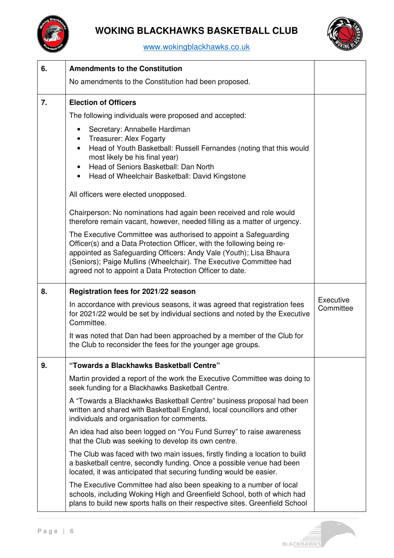

# **WOKING BLACKHAWKS BASKETBALL CLUB**



| 6. | <b>Amendments to the Constitution</b>                                                                                                                                                                                                                                                                                                              |           |
|----|----------------------------------------------------------------------------------------------------------------------------------------------------------------------------------------------------------------------------------------------------------------------------------------------------------------------------------------------------|-----------|
|    | No amendments to the Constitution had been proposed.                                                                                                                                                                                                                                                                                               |           |
| 7. | <b>Election of Officers</b>                                                                                                                                                                                                                                                                                                                        |           |
|    | The following individuals were proposed and accepted:                                                                                                                                                                                                                                                                                              |           |
|    | Secretary: Annabelle Hardiman<br>$\bullet$<br><b>Treasurer: Alex Fogarty</b><br>$\bullet$<br>Head of Youth Basketball: Russell Fernandes (noting that this would<br>$\bullet$<br>most likely be his final year)<br>Head of Seniors Basketball: Dan North<br>$\bullet$<br>Head of Wheelchair Basketball: David Kingstone<br>$\bullet$               |           |
|    | All officers were elected unopposed.                                                                                                                                                                                                                                                                                                               |           |
|    | Chairperson: No nominations had again been received and role would<br>therefore remain vacant, however, needed filling as a matter of urgency.                                                                                                                                                                                                     |           |
|    | The Executive Committee was authorised to appoint a Safeguarding<br>Officer(s) and a Data Protection Officer, with the following being re-<br>appointed as Safeguarding Officers: Andy Vale (Youth); Lisa Bhaura<br>(Seniors); Paige Mullins (Wheelchair). The Executive Committee had<br>agreed not to appoint a Data Protection Officer to date. |           |
| 8. | Registration fees for 2021/22 season                                                                                                                                                                                                                                                                                                               | Executive |
|    | In accordance with previous seasons, it was agreed that registration fees<br>for 2021/22 would be set by individual sections and noted by the Executive<br>Committee.                                                                                                                                                                              | Committee |
|    | It was noted that Dan had been approached by a member of the Club for<br>the Club to reconsider the fees for the younger age groups.                                                                                                                                                                                                               |           |
| 9. | "Towards a Blackhawks Basketball Centre"                                                                                                                                                                                                                                                                                                           |           |
|    | Martin provided a report of the work the Executive Committee was doing to<br>seek funding for a Blackhawks Basketball Centre.                                                                                                                                                                                                                      |           |
|    | A "Towards a Blackhawks Basketball Centre" business proposal had been<br>written and shared with Basketball England, local councillors and other<br>individuals and organisation for comments.                                                                                                                                                     |           |
|    | An idea had also been logged on "You Fund Surrey" to raise awareness<br>that the Club was seeking to develop its own centre.                                                                                                                                                                                                                       |           |
|    | The Club was faced with two main issues, firstly finding a location to build<br>a basketball centre, secondly funding. Once a possible venue had been<br>located, it was anticipated that securing funding would be easier.                                                                                                                        |           |
|    | The Executive Committee had also been speaking to a number of local<br>schools, including Woking High and Greenfield School, both of which had<br>plans to build new sports halls on their respective sites. Greenfield School                                                                                                                     |           |